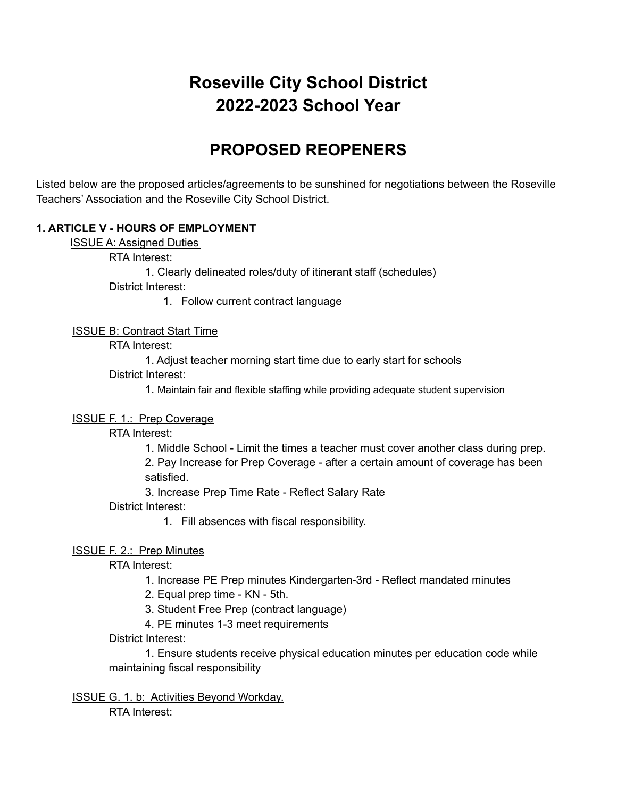# **Roseville City School District 2022-2023 School Year**

## **PROPOSED REOPENERS**

Listed below are the proposed articles/agreements to be sunshined for negotiations between the Roseville Teachers' Association and the Roseville City School District.

## **1. ARTICLE V - HOURS OF EMPLOYMENT**

ISSUE A: Assigned Duties

RTA Interest:

1. Clearly delineated roles/duty of itinerant staff (schedules)

District Interest:

1. Follow current contract language

#### ISSUE B: Contract Start Time

RTA Interest:

1. Adjust teacher morning start time due to early start for schools

District Interest:

1. Maintain fair and flexible staffing while providing adequate student supervision

#### ISSUE F. 1.: Prep Coverage

RTA Interest:

1. Middle School - Limit the times a teacher must cover another class during prep.

2. Pay Increase for Prep Coverage - after a certain amount of coverage has been satisfied.

3. Increase Prep Time Rate - Reflect Salary Rate

District Interest:

1. Fill absences with fiscal responsibility.

#### ISSUE F. 2.: Prep Minutes

RTA Interest:

1. Increase PE Prep minutes Kindergarten-3rd - Reflect mandated minutes

2. Equal prep time - KN - 5th.

3. Student Free Prep (contract language)

4. PE minutes 1-3 meet requirements

District Interest:

1. Ensure students receive physical education minutes per education code while maintaining fiscal responsibility

ISSUE G. 1. b: Activities Beyond Workday. RTA Interest: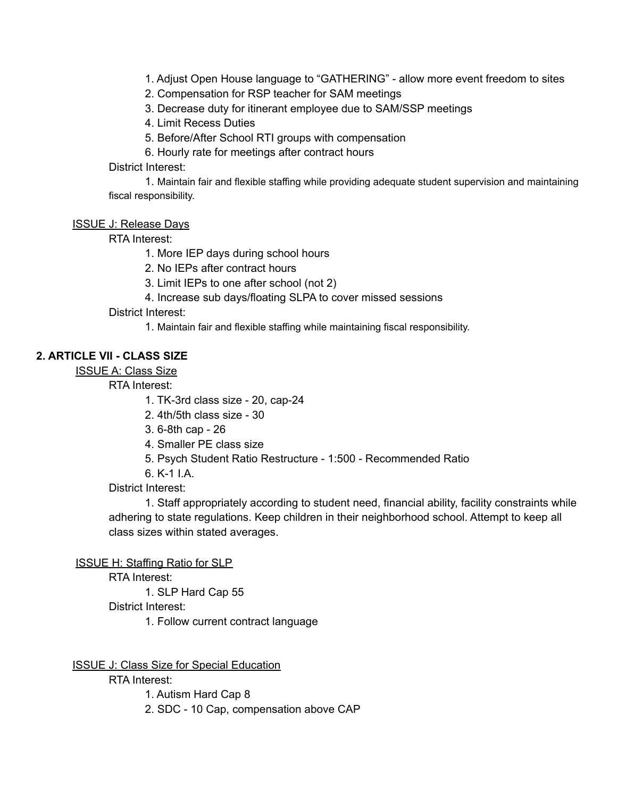1. Adjust Open House language to "GATHERING" - allow more event freedom to sites

2. Compensation for RSP teacher for SAM meetings

3. Decrease duty for itinerant employee due to SAM/SSP meetings

4. Limit Recess Duties

5. Before/After School RTI groups with compensation

6. Hourly rate for meetings after contract hours

District Interest:

1. Maintain fair and flexible staffing while providing adequate student supervision and maintaining fiscal responsibility.

ISSUE J: Release Days

RTA Interest:

1. More IEP days during school hours

2. No IEPs after contract hours

3. Limit IEPs to one after school (not 2)

4. Increase sub days/floating SLPA to cover missed sessions

District Interest:

1. Maintain fair and flexible staffing while maintaining fiscal responsibility.

#### **2. ARTICLE VII - CLASS SIZE**

ISSUE A: Class Size

RTA Interest:

1. TK-3rd class size - 20, cap-24

2. 4th/5th class size - 30

3. 6-8th cap - 26

4. Smaller PE class size

5. Psych Student Ratio Restructure - 1:500 - Recommended Ratio

6. K-1 I.A.

District Interest:

1. Staff appropriately according to student need, financial ability, facility constraints while adhering to state regulations. Keep children in their neighborhood school. Attempt to keep all class sizes within stated averages.

ISSUE H: Staffing Ratio for SLP

RTA Interest:

1. SLP Hard Cap 55

District Interest:

1. Follow current contract language

ISSUE J: Class Size for Special Education

RTA Interest:

1. Autism Hard Cap 8

2. SDC - 10 Cap, compensation above CAP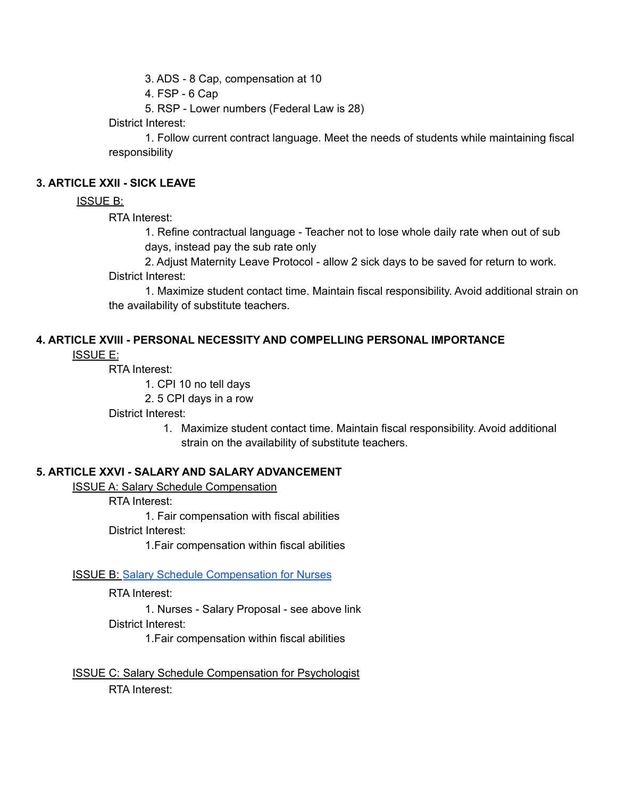3. ADS - 8 Cap, compensation at 10

4. FSP - 6 Cap

5. RSP - Lower numbers (Federal Law is 28)

District Interest:

1. Follow current contract language. Meet the needs of students while maintaining fiscal responsibility

## **3. ARTICLE XXII - SICK LEAVE**

## ISSUE B:

RTA Interest:

1. Refine contractual language - Teacher not to lose whole daily rate when out of sub days, instead pay the sub rate only

2. Adjust Maternity Leave Protocol - allow 2 sick days to be saved for return to work. District Interest:

1. Maximize student contact time. Maintain fiscal responsibility. Avoid additional strain on the availability of substitute teachers.

## **4. ARTICLE XVIII - PERSONAL NECESSITY AND COMPELLING PERSONAL IMPORTANCE**

ISSUE E:

RTA Interest:

1. CPI 10 no tell days

2. 5 CPI days in a row

District Interest:

1. Maximize student contact time. Maintain fiscal responsibility. Avoid additional strain on the availability of substitute teachers.

## **5. ARTICLE XXVI - SALARY AND SALARY ADVANCEMENT**

ISSUE A: Salary Schedule Compensation

RTA Interest:

1. Fair compensation with fiscal abilities

District Interest:

1.Fair compensation within fiscal abilities

#### ISSUE B: [Salary Schedule Compensation for Nurses](https://docs.google.com/document/d/1DUNryh8DhOfppogjn8Ce6auWBnsWK_wBCNAifj2e544/edit?usp=sharing)

RTA Interest:

1. Nurses - Salary Proposal - see above link District Interest:

1.Fair compensation within fiscal abilities

ISSUE C: Salary Schedule Compensation for Psychologist RTA Interest: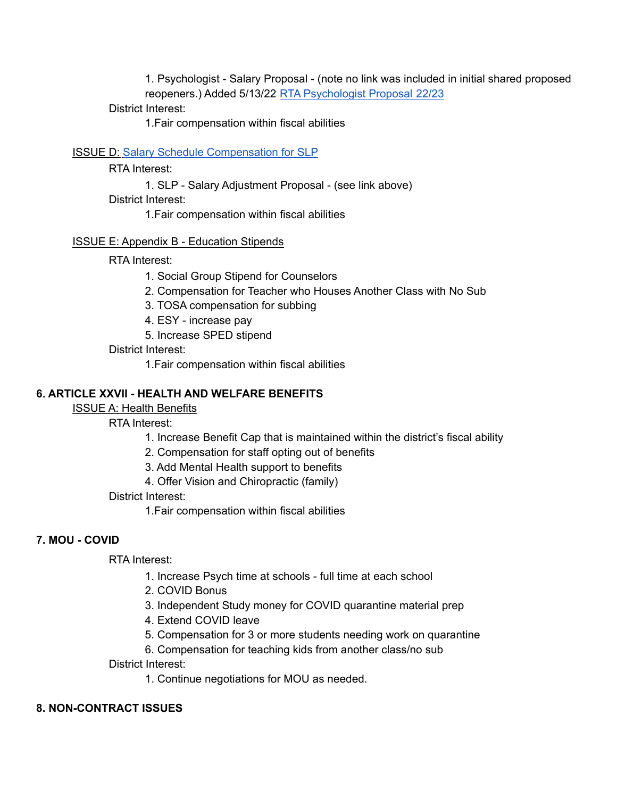1. Psychologist - Salary Proposal - (note no link was included in initial shared proposed reopeners.) Added 5/13/22 [RTA Psychologist Proposal 22/23](https://docs.google.com/document/d/1ifvtzNLzZvbYb4EsfjABQeDji3u7oR0xb0EQ5_E9bQk/edit?usp=sharing)

## District Interest:

1.Fair compensation within fiscal abilities

#### ISSUE D: [Salary Schedule Compensation for SLP](https://docs.google.com/presentation/d/1jNm4qBFLsS04GIxNityGr22V-blRwpr2/edit?usp=sharing&ouid=102720076105017503245&rtpof=true&sd=true)

RTA Interest:

1. SLP - Salary Adjustment Proposal - (see link above)

District Interest:

1.Fair compensation within fiscal abilities

#### ISSUE E: Appendix B - Education Stipends

RTA Interest:

1. Social Group Stipend for Counselors

- 2. Compensation for Teacher who Houses Another Class with No Sub
- 3. TOSA compensation for subbing
- 4. ESY increase pay
- 5. Increase SPED stipend

District Interest:

1.Fair compensation within fiscal abilities

## **6. ARTICLE XXVII - HEALTH AND WELFARE BENEFITS**

ISSUE A: Health Benefits

RTA Interest:

- 1. Increase Benefit Cap that is maintained within the district's fiscal ability
- 2. Compensation for staff opting out of benefits
- 3. Add Mental Health support to benefits
- 4. Offer Vision and Chiropractic (family)

District Interest:

1.Fair compensation within fiscal abilities

## **7. MOU - COVID**

RTA Interest:

- 1. Increase Psych time at schools full time at each school
- 2. COVID Bonus
- 3. Independent Study money for COVID quarantine material prep
- 4. Extend COVID leave
- 5. Compensation for 3 or more students needing work on quarantine
- 6. Compensation for teaching kids from another class/no sub

District Interest:

1. Continue negotiations for MOU as needed.

#### **8. NON-CONTRACT ISSUES**